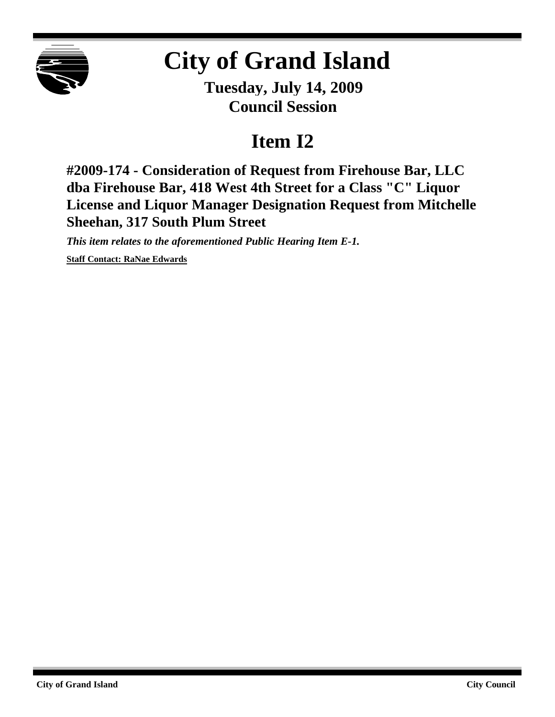

## **City of Grand Island**

**Tuesday, July 14, 2009 Council Session**

## **Item I2**

**#2009-174 - Consideration of Request from Firehouse Bar, LLC dba Firehouse Bar, 418 West 4th Street for a Class "C" Liquor License and Liquor Manager Designation Request from Mitchelle Sheehan, 317 South Plum Street**

*This item relates to the aforementioned Public Hearing Item E-1.*

**Staff Contact: RaNae Edwards**